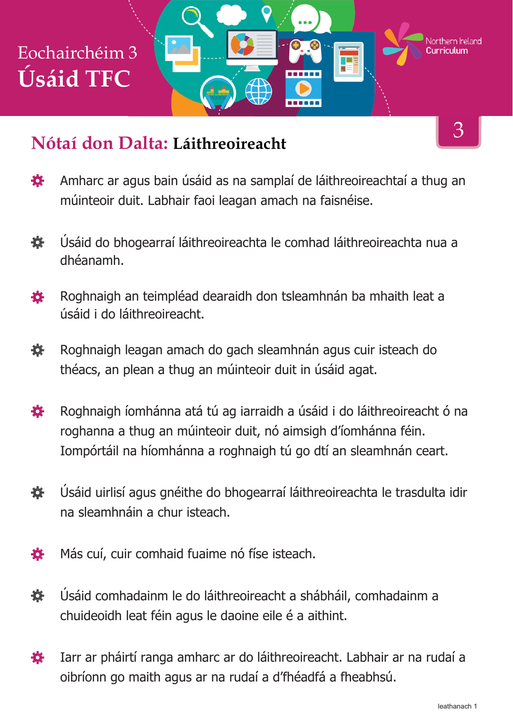#### **Nótaí don Dalta: Láithreoireacht**

- Amharc ar agus bain úsáid as na samplaí de láithreoireachtaí a thug an 娄 múinteoir duit. Labhair faoi leagan amach na faisnéise.
- Úsáid do bhogearraí láithreoireachta le comhad láithreoireachta nua a 娄 dhéanamh.
- Roghnaigh an teimpléad dearaidh don tsleamhnán ba mhaith leat a 各 úsáid i do láithreoireacht.
- Roghnaigh leagan amach do gach sleamhnán agus cuir isteach do 娄 théacs, an plean a thug an múinteoir duit in úsáid agat.
- Roghnaigh íomhánna atá tú ag iarraidh a úsáid i do láithreoireacht ó na 養 roghanna a thug an múinteoir duit, nó aimsigh d'íomhánna féin. Iompórtáil na híomhánna a roghnaigh tú go dtí an sleamhnán ceart.
- Úsáid uirlisí agus gnéithe do bhogearraí láithreoireachta le trasdulta idir 養 na sleamhnáin a chur isteach.
- Más cuí, cuir comhaid fuaime nó físe isteach. 娄
- Úsáid comhadainm le do láithreoireacht a shábháil, comhadainm a 養 chuideoidh leat féin agus le daoine eile é a aithint.
- Iarr ar pháirtí ranga amharc ar do láithreoireacht. Labhair ar na rudaí a 養 oibríonn go maith agus ar na rudaí a d'fhéadfá a fheabhsú.

3

Northern **Ir**eland

F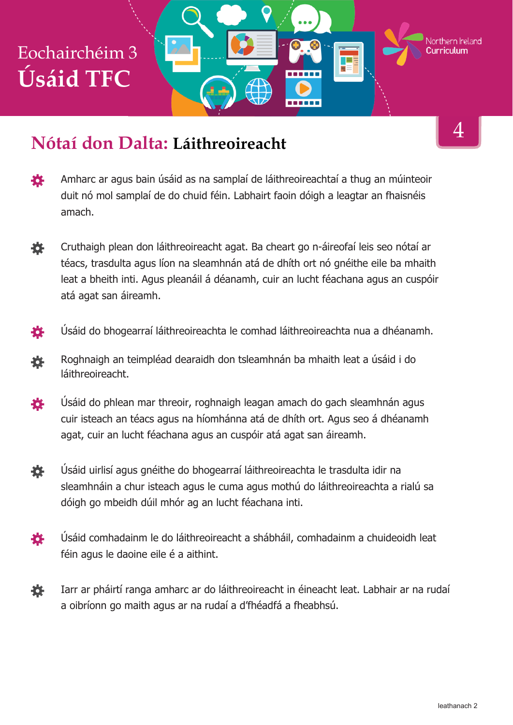#### **Nótaí don Dalta: Láithreoireacht**

- Amharc ar agus bain úsáid as na samplaí de láithreoireachtaí a thug an múinteoir 養 duit nó mol samplaí de do chuid féin. Labhairt faoin dóigh a leagtar an fhaisnéis amach.
- Cruthaigh plean don láithreoireacht agat. Ba cheart go n-áireofaí leis seo nótaí ar 養 téacs, trasdulta agus líon na sleamhnán atá de dhíth ort nó gnéithe eile ba mhaith leat a bheith inti. Agus pleanáil á déanamh, cuir an lucht féachana agus an cuspóir atá agat san áireamh.
- Úsáid do bhogearraí láithreoireachta le comhad láithreoireachta nua a dhéanamh. 養
- Roghnaigh an teimpléad dearaidh don tsleamhnán ba mhaith leat a úsáid i do 養 láithreoireacht.
- Úsáid do phlean mar threoir, roghnaigh leagan amach do gach sleamhnán agus 春 cuir isteach an téacs agus na híomhánna atá de dhíth ort. Agus seo á dhéanamh agat, cuir an lucht féachana agus an cuspóir atá agat san áireamh.
- 娄 Úsáid uirlisí agus gnéithe do bhogearraí láithreoireachta le trasdulta idir na sleamhnáin a chur isteach agus le cuma agus mothú do láithreoireachta a rialú sa dóigh go mbeidh dúil mhór ag an lucht féachana inti.
- Úsáid comhadainm le do láithreoireacht a shábháil, comhadainm a chuideoidh leat 養 féin agus le daoine eile é a aithint.
- Iarr ar pháirtí ranga amharc ar do láithreoireacht in éineacht leat. Labhair ar na rudaí 養 a oibríonn go maith agus ar na rudaí a d'fhéadfá a fheabhsú.

4

Northern Ireland

TE S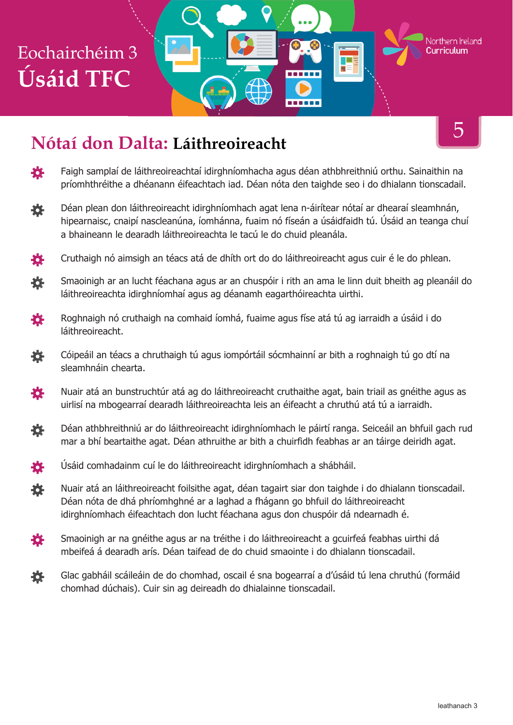

登 Faigh samplaí de láithreoireachtaí idirghníomhacha agus déan athbhreithniú orthu. Sainaithin na príomhthréithe a dhéanann éifeachtach iad. Déan nóta den taighde seo i do dhialann tionscadail.

------

- Déan plean don láithreoireacht idirghníomhach agat lena n-áirítear nótaí ar dhearaí sleamhnán, 茶 hipearnaisc, cnaipí nascleanúna, íomhánna, fuaim nó físeán a úsáidfaidh tú. Úsáid an teanga chuí a bhaineann le dearadh láithreoireachta le tacú le do chuid pleanála.
- Cruthaigh nó aimsigh an téacs atá de dhíth ort do do láithreoireacht agus cuir é le do phlean. 養
- 寮 Smaoinigh ar an lucht féachana agus ar an chuspóir i rith an ama le linn duit bheith ag pleanáil do láithreoireachta idirghníomhaí agus ag déanamh eagarthóireachta uirthi.
- Roghnaigh nó cruthaigh na comhaid íomhá, fuaime agus físe atá tú ag iarraidh a úsáid i do 養 láithreoireacht.
- 養 Cóipeáil an téacs a chruthaigh tú agus iompórtáil sócmhainní ar bith a roghnaigh tú go dtí na sleamhnáin chearta.
- Nuair atá an bunstruchtúr atá ag do láithreoireacht cruthaithe agat, bain triail as gnéithe agus as 養 uirlisí na mbogearraí dearadh láithreoireachta leis an éifeacht a chruthú atá tú a iarraidh.
- Déan athbhreithniú ar do láithreoireacht idirghníomhach le páirtí ranga. Seiceáil an bhfuil gach rud 養 mar a bhí beartaithe agat. Déan athruithe ar bith a chuirfidh feabhas ar an táirge deiridh agat.
- Úsáid comhadainm cuí le do láithreoireacht idirghníomhach a shábháil. 各
- Nuair atá an láithreoireacht foilsithe agat, déan tagairt siar don taighde i do dhialann tionscadail. 娄 Déan nóta de dhá phríomhghné ar a laghad a fhágann go bhfuil do láithreoireacht idirghníomhach éifeachtach don lucht féachana agus don chuspóir dá ndearnadh é.
- Smaoinigh ar na gnéithe agus ar na tréithe i do láithreoireacht a gcuirfeá feabhas uirthi dá 娄 mbeifeá á dearadh arís. Déan taifead de do chuid smaointe i do dhialann tionscadail.
- Glac gabháil scáileáin de do chomhad, oscail é sna bogearraí a d'úsáid tú lena chruthú (formáid 瓷 chomhad dúchais). Cuir sin ag deireadh do dhialainne tionscadail.

5

Northern Ireland